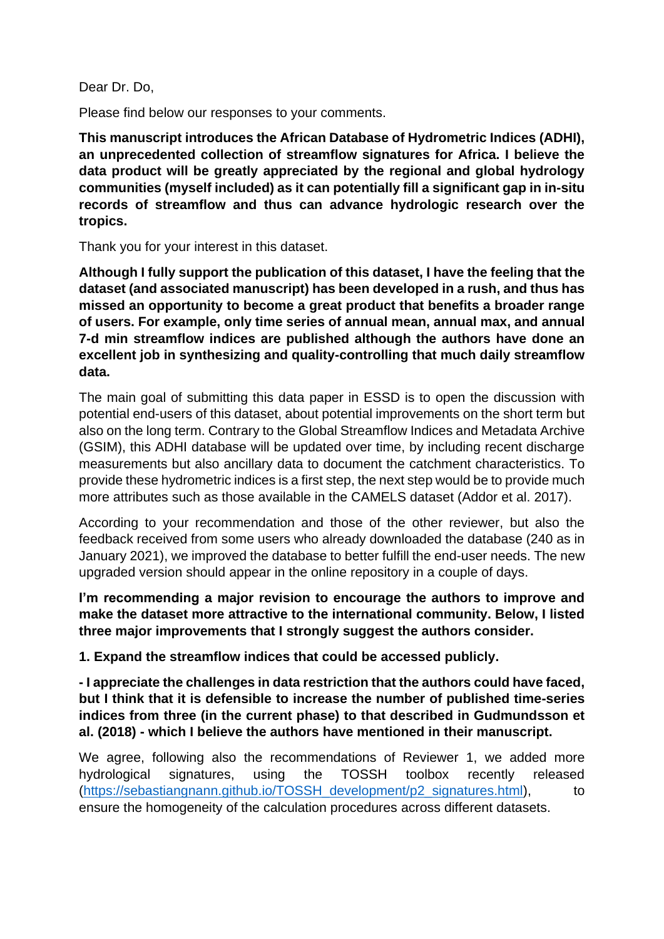Dear Dr. Do,

Please find below our responses to your comments.

**This manuscript introduces the African Database of Hydrometric Indices (ADHI), an unprecedented collection of streamflow signatures for Africa. I believe the data product will be greatly appreciated by the regional and global hydrology communities (myself included) as it can potentially fill a significant gap in in-situ records of streamflow and thus can advance hydrologic research over the tropics.** 

Thank you for your interest in this dataset.

**Although I fully support the publication of this dataset, I have the feeling that the dataset (and associated manuscript) has been developed in a rush, and thus has missed an opportunity to become a great product that benefits a broader range of users. For example, only time series of annual mean, annual max, and annual 7-d min streamflow indices are published although the authors have done an excellent job in synthesizing and quality-controlling that much daily streamflow data.**

The main goal of submitting this data paper in ESSD is to open the discussion with potential end-users of this dataset, about potential improvements on the short term but also on the long term. Contrary to the Global Streamflow Indices and Metadata Archive (GSIM), this ADHI database will be updated over time, by including recent discharge measurements but also ancillary data to document the catchment characteristics. To provide these hydrometric indices is a first step, the next step would be to provide much more attributes such as those available in the CAMELS dataset (Addor et al. 2017).

According to your recommendation and those of the other reviewer, but also the feedback received from some users who already downloaded the database (240 as in January 2021), we improved the database to better fulfill the end-user needs. The new upgraded version should appear in the online repository in a couple of days.

**I'm recommending a major revision to encourage the authors to improve and make the dataset more attractive to the international community. Below, I listed three major improvements that I strongly suggest the authors consider.**

**1. Expand the streamflow indices that could be accessed publicly.**

**- I appreciate the challenges in data restriction that the authors could have faced, but I think that it is defensible to increase the number of published time-series indices from three (in the current phase) to that described in Gudmundsson et al. (2018) - which I believe the authors have mentioned in their manuscript.**

We agree, following also the recommendations of Reviewer 1, we added more hydrological signatures, using the TOSSH toolbox recently released (https://sebastiangnann.github.jo/TOSSH\_development/p2\_signatures.html), to ensure the homogeneity of the calculation procedures across different datasets.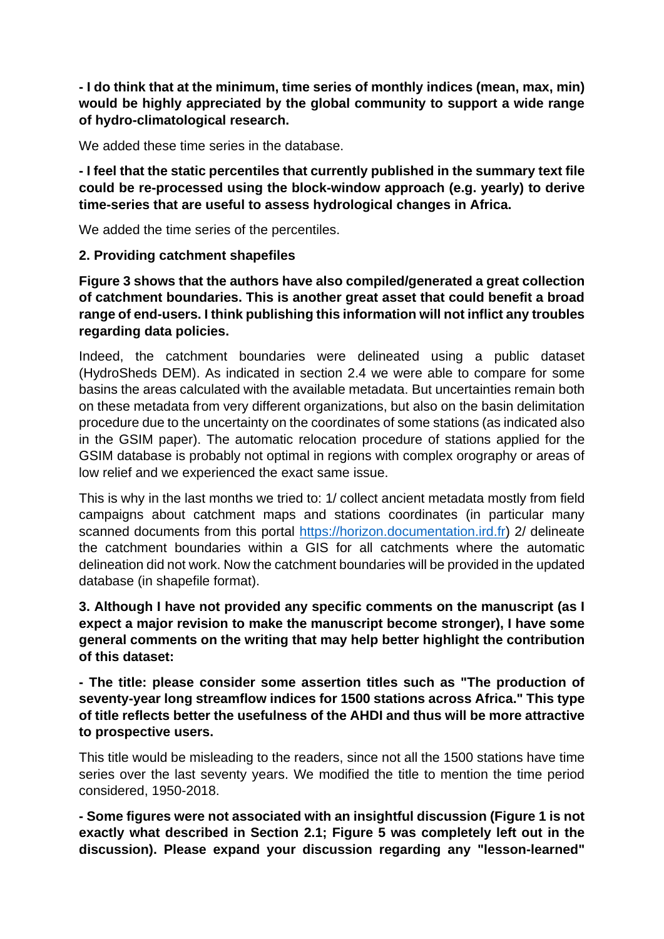**- I do think that at the minimum, time series of monthly indices (mean, max, min) would be highly appreciated by the global community to support a wide range of hydro-climatological research.**

We added these time series in the database.

**- I feel that the static percentiles that currently published in the summary text file could be re-processed using the block-window approach (e.g. yearly) to derive time-series that are useful to assess hydrological changes in Africa.**

We added the time series of the percentiles.

## **2. Providing catchment shapefiles**

**Figure 3 shows that the authors have also compiled/generated a great collection of catchment boundaries. This is another great asset that could benefit a broad range of end-users. I think publishing this information will not inflict any troubles regarding data policies.**

Indeed, the catchment boundaries were delineated using a public dataset (HydroSheds DEM). As indicated in section 2.4 we were able to compare for some basins the areas calculated with the available metadata. But uncertainties remain both on these metadata from very different organizations, but also on the basin delimitation procedure due to the uncertainty on the coordinates of some stations (as indicated also in the GSIM paper). The automatic relocation procedure of stations applied for the GSIM database is probably not optimal in regions with complex orography or areas of low relief and we experienced the exact same issue.

This is why in the last months we tried to: 1/ collect ancient metadata mostly from field campaigns about catchment maps and stations coordinates (in particular many scanned documents from this portal [https://horizon.documentation.ird.fr\)](https://horizon.documentation.ird.fr/) 2/ delineate the catchment boundaries within a GIS for all catchments where the automatic delineation did not work. Now the catchment boundaries will be provided in the updated database (in shapefile format).

**3. Although I have not provided any specific comments on the manuscript (as I expect a major revision to make the manuscript become stronger), I have some general comments on the writing that may help better highlight the contribution of this dataset:**

**- The title: please consider some assertion titles such as "The production of seventy-year long streamflow indices for 1500 stations across Africa." This type of title reflects better the usefulness of the AHDI and thus will be more attractive to prospective users.**

This title would be misleading to the readers, since not all the 1500 stations have time series over the last seventy years. We modified the title to mention the time period considered, 1950-2018.

**- Some figures were not associated with an insightful discussion (Figure 1 is not exactly what described in Section 2.1; Figure 5 was completely left out in the discussion). Please expand your discussion regarding any "lesson-learned"**